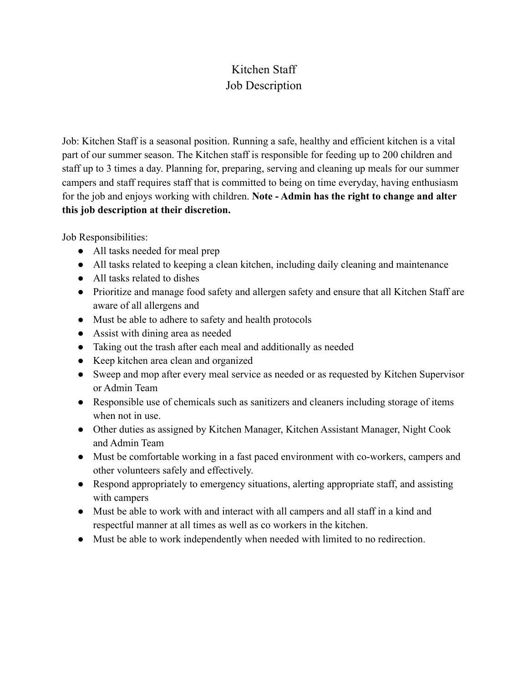## Kitchen Staff Job Description

Job: Kitchen Staff is a seasonal position. Running a safe, healthy and efficient kitchen is a vital part of our summer season. The Kitchen staff is responsible for feeding up to 200 children and staff up to 3 times a day. Planning for, preparing, serving and cleaning up meals for our summer campers and staff requires staff that is committed to being on time everyday, having enthusiasm for the job and enjoys working with children. **Note - Admin has the right to change and alter this job description at their discretion.**

Job Responsibilities:

- All tasks needed for meal prep
- All tasks related to keeping a clean kitchen, including daily cleaning and maintenance
- All tasks related to dishes
- Prioritize and manage food safety and allergen safety and ensure that all Kitchen Staff are aware of all allergens and
- Must be able to adhere to safety and health protocols
- Assist with dining area as needed
- Taking out the trash after each meal and additionally as needed
- Keep kitchen area clean and organized
- Sweep and mop after every meal service as needed or as requested by Kitchen Supervisor or Admin Team
- Responsible use of chemicals such as sanitizers and cleaners including storage of items when not in use.
- Other duties as assigned by Kitchen Manager, Kitchen Assistant Manager, Night Cook and Admin Team
- Must be comfortable working in a fast paced environment with co-workers, campers and other volunteers safely and effectively.
- Respond appropriately to emergency situations, alerting appropriate staff, and assisting with campers
- Must be able to work with and interact with all campers and all staff in a kind and respectful manner at all times as well as co workers in the kitchen.
- Must be able to work independently when needed with limited to no redirection.